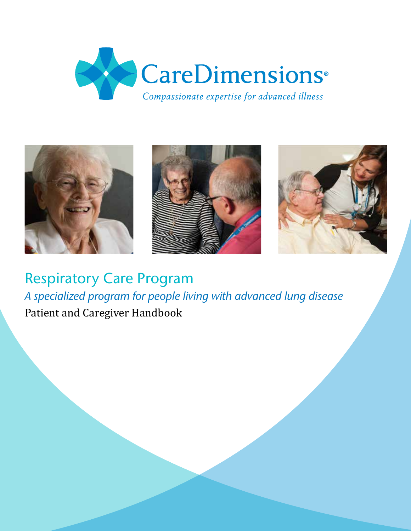



Respiratory Care Program *A specialized program for people living with advanced lung disease* Patient and Caregiver Handbook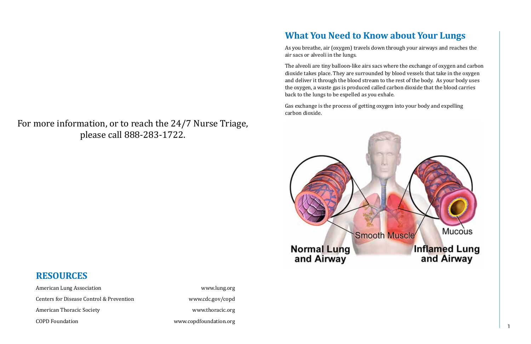## **What You Need to Know about Your Lungs**

As you breathe, air (oxygen) travels down through your airways and reaches the air sacs or alveoli in the lungs.

The alveoli are tiny balloon-like airs sacs where the exchange of oxygen and carbon dioxide takes place. They are surrounded by blood vessels that take in the oxygen and deliver it through the blood stream to the rest of the body. As your body uses the oxygen, a waste gas is produced called carbon dioxide that the blood carries back to the lungs to be expelled as you exhale.

Gas exchange is the process of getting oxygen into your body and expelling carbon dioxide.



## **RESOURCES**

American Lung Association www.lung.org Centers for Disease Control & Prevention www.cdc.gov/copd American Thoracic Society **and Society** www.thoracic.org

COPD Foundation www.copdfoundation.org

## For more information, or to reach the 24/7 Nurse Triage, please call 888-283-1722.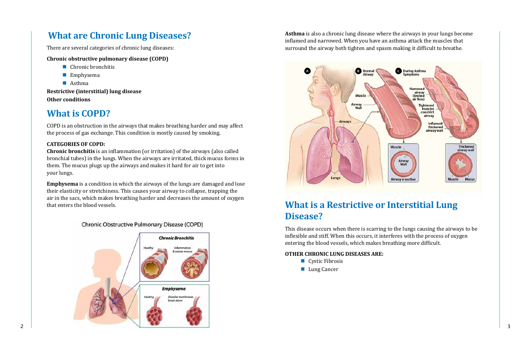

**Asthma** is also a chronic lung disease where the airways in your lungs become inflamed and narrowed. When you have an asthma attack the muscles that surround the airway both tighten and spasm making it difficult to breathe.



## **What are Chronic Lung Diseases?**

There are several categories of chronic lung diseases:

#### **Chronic obstructive pulmonary disease (COPD)**

- Chronic bronchitis
- **Emphysema**
- Asthma

**Restrictive (interstitial) lung disease Other conditions**

**Emphysema** is a condition in which the airways of the lungs are damaged and lose their elasticity or stretchiness. This causes your airway to collapse, trapping the air in the sacs, which makes breathing harder and decreases the amount of oxygen that enters the blood vessels.

### Chronic Obstructive Pulmonary Disease (COPD)

## **What is COPD?**

COPD is an obstruction in the airways that makes breathing harder and may affect the process of gas exchange. This condition is mostly caused by smoking.

## **What is a Restrictive or Interstitial Lung Disease?**

### **CATEGORIES OF COPD:**

**Chronic bronchitis** is an inflammation (or irritation) of the airways (also called bronchial tubes) in the lungs. When the airways are irritated, thick mucus forms in them. The mucus plugs up the airways and makes it hard for air to get into your lungs.

> This disease occurs when there is scarring to the lungs causing the airways to be inflexible and stiff. When this occurs, it interferes with the process of oxygen entering the blood vessels, which makes breathing more difficult.

#### **OTHER CHRONIC LUNG DISEASES ARE:**

- Cystic Fibrosis
- **Lung Cancer**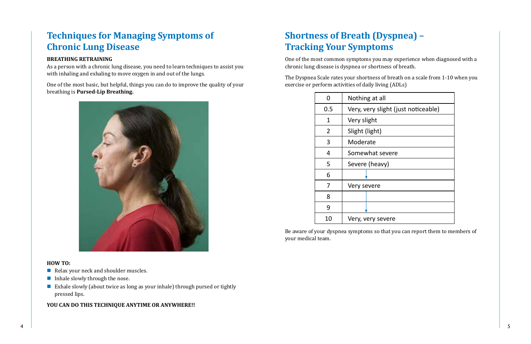## **Techniques for Managing Symptoms of Chronic Lung Disease**

### **BREATHING RETRAINING**

As a person with a chronic lung disease, you need to learn techniques to assist you with inhaling and exhaling to move oxygen in and out of the lungs.

- Relax your neck and shoulder muscles.
- Inhale slowly through the nose.
- Exhale slowly (about twice as long as your inhale) through pursed or tightly pressed lips.

One of the most basic, but helpful, things you can do to improve the quality of your breathing is **Pursed-Lip Breathing.**



### **HOW TO:**

### **YOU CAN DO THIS TECHNIQUE ANYTIME OR ANYWHERE!!**

| t (just noticeable) |
|---------------------|
|                     |
|                     |
|                     |
| ere                 |
|                     |
|                     |
|                     |
|                     |
|                     |
| r۴                  |

# **Shortness of Breath (Dyspnea) – Tracking Your Symptoms**

One of the most common symptoms you may experience when diagnosed with a chronic lung disease is dyspnea or shortness of breath.

The Dyspnea Scale rates your shortness of breath on a scale from 1-10 when you exercise or perform activities of daily living (ADLs)

| N   | Nothing at all                      |
|-----|-------------------------------------|
| 0.5 | Very, very slight (just noticeable) |
| 1   | Very slight                         |
| 2   | Slight (light)                      |
| 3   | Moderate                            |
| 4   | Somewhat severe                     |
| 5   | Severe (heavy)                      |
| 6   |                                     |
| 7   | Very severe                         |
| 8   |                                     |
| 9   |                                     |
| 10  | Very, very severe                   |

Be aware of your dyspnea symptoms so that you can report them to members of your medical team.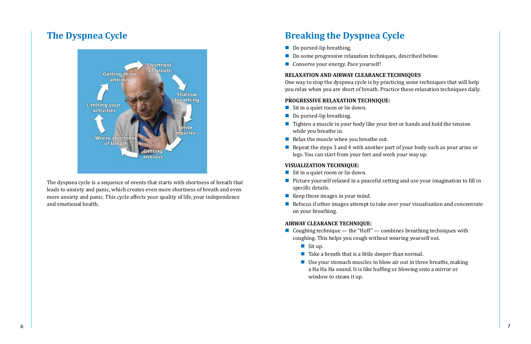The dyspnea cycle is a sequence of events that starts with shortness of breath that leads to anxiety and panic, which creates even more shortness of breath and even more anxiety and panic. This cycle affects your quality of life, your independence and emotional health.

## **Breaking the Dyspnea Cycle**

- Do pursed-lip breathing.
- Do some progressive relaxation techniques, described below.
- Conserve your energy. Pace yourself!

### **RELAXATION AND AIRWAY CLEARANCE TECHNIQUES**

- Sit in a quiet room or lie down.
- Do pursed-lip breathing.
- $\blacksquare$  Tighten a muscle in your body like your feet or hands and hold the tension while you breathe in.
- Relax the muscle when you breathe out.
- Repeat the steps 3 and 4 with another part of your body such as your arms or legs. You can start from your feet and work your way up.

One way to stop the dyspnea cycle is by practicing some techniques that will help you relax when you are short of breath. Practice these relaxation techniques daily.

#### **PROGRESSIVE RELAXATION TECHNIQUE:**

- Sit in a quiet room or lie down.
- **Picture yourself relaxed in a peaceful setting and use your imagination to fill in** specific details.
- Keep those images in your mind.
- $\blacksquare$  Refocus if other images attempt to take over your visualization and concentrate on your breathing.

- Coughing technique the "Huff" combines breathing techniques with coughing. This helps you cough without wearing yourself out.
	- $\blacksquare$  Sit up.
	- $\blacksquare$  Take a breath that is a little deeper than normal.
	- Use your stomach muscles to blow air out in three breaths, making a Ha Ha Ha sound. It is like huffing or blowing onto a mirror or window to steam it up.

### **VISUALIZATION TECHNIQUE:**

### **AIRWAY CLEARANCE TECHNIQUE:**

## **The Dyspnea Cycle**

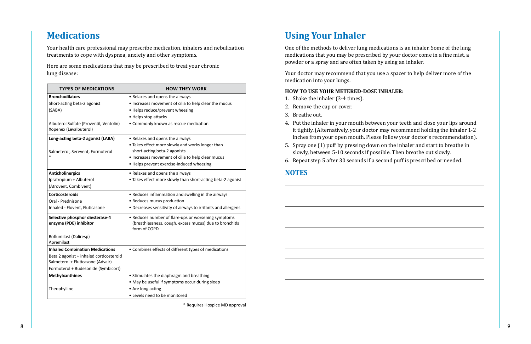| <b>TYPES OF MEDICATIONS</b>                                       | <b>HOW THEY WORK</b>                                                                                                           |
|-------------------------------------------------------------------|--------------------------------------------------------------------------------------------------------------------------------|
| <b>Bronchodilators</b>                                            | • Relaxes and opens the airways                                                                                                |
| Short-acting beta-2 agonist                                       | • Increases movement of cilia to help clear the mucus                                                                          |
| (SABA)                                                            | • Helps reduce/prevent wheezing                                                                                                |
|                                                                   | • Helps stop attacks                                                                                                           |
| Albuterol Sulfate (Proventil, Ventolin)<br>Xopenex (Levalbuterol) | • Commonly known as rescue medication                                                                                          |
| Long-acting beta-2 agonist (LABA)                                 | • Relaxes and opens the airways                                                                                                |
|                                                                   | • Takes effect more slowly and works longer than                                                                               |
| Salmeterol, Serevent, Formoterol                                  | short-acting beta-2 agonists                                                                                                   |
|                                                                   | • Increases movement of cilia to help clear mucus                                                                              |
|                                                                   | • Helps prevent exercise-induced wheezing                                                                                      |
| <b>Anticholinergics</b>                                           | • Relaxes and opens the airways                                                                                                |
| Ipratropium + Albuterol                                           | • Takes effect more slowly than short-acting beta-2 agonist                                                                    |
| (Atrovent, Combivent)                                             |                                                                                                                                |
| <b>Corticosteroids</b>                                            | • Reduces inflammation and swelling in the airways                                                                             |
| Oral - Prednisone                                                 | • Reduces mucus production                                                                                                     |
| Inhaled - Flovent, Fluticasone                                    | • Decreases sensitivity of airways to irritants and allergens                                                                  |
| Selective phosphor diesterase-4<br>enzyme (PDE) inhibitor         | • Reduces number of flare-ups or worsening symptoms<br>(breathlessness, cough, excess mucus) due to bronchitis<br>form of COPD |
| Roflumilast (Daliresp)<br>Apremilast                              |                                                                                                                                |
| <b>Inhaled Combination Medications</b>                            | • Combines effects of different types of medications                                                                           |
| Beta 2 agonist + inhaled corticosteroid                           |                                                                                                                                |
| Salmeterol + Fluticasone (Advair)                                 |                                                                                                                                |
| Formoterol + Budesonide (Symbicort)                               |                                                                                                                                |
| <b>Methylxanthines</b>                                            | • Stimulates the diaphragm and breathing                                                                                       |
|                                                                   | • May be useful if symptoms occur during sleep                                                                                 |
| Theophylline                                                      | • Are long acting                                                                                                              |
|                                                                   | • Levels need to be monitored                                                                                                  |

# **Using Your Inhaler**

One of the methods to deliver lung medications is an inhaler. Some of the lung medications that you may be prescribed by your doctor come in a fine mist, a powder or a spray and are often taken by using an inhaler.

Your doctor may recommend that you use a spacer to help deliver more of the medication into your lungs.

### **HOW TO USE YOUR METERED-DOSE INHALER:**

- 1. Shake the inhaler (3-4 times).
- 2. Remove the cap or cover.
- 3. Breathe out.
- 4. Put the inhaler in your mouth between your teeth and close your lips around it tightly. (Alternatively, your doctor may recommend holding the inhaler 1-2 inches from your open mouth. Please follow your doctor's recommendation).
- 5. Spray one (1) puff by pressing down on the inhaler and start to breathe in slowly, between 5-10 seconds if possible. Then breathe out slowly.
- 6. Repeat step 5 after 30 seconds if a second puff is prescribed or needed.

### **NOTES**

## **Medications**

Your health care professional may prescribe medication, inhalers and nebulization treatments to cope with dyspnea, anxiety and other symptoms.

Here are some medications that may be prescribed to treat your chronic lung disease:

\* Requires Hospice MD approval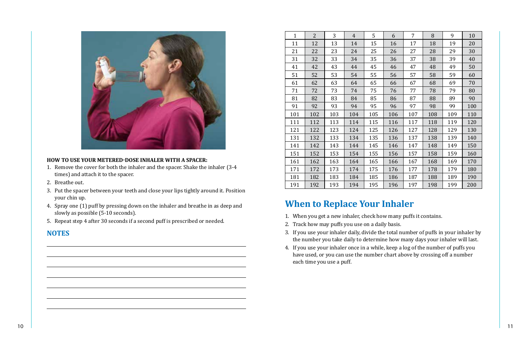

#### **HOW TO USE YOUR METERED-DOSE INHALER WITH A SPACER:**

- 1. Remove the cover for both the inhaler and the spacer. Shake the inhaler (3-4 times) and attach it to the spacer.
- 2. Breathe out.
- 3. Put the spacer between your teeth and close your lips tightly around it. Position your chin up.
- 4. Spray one (1) puff by pressing down on the inhaler and breathe in as deep and slowly as possible (5-10 seconds).
- 5. Repeat step 4 after 30 seconds if a second puff is prescribed or needed.

### **NOTES**

| $\mathbf{1}$ | $\overline{2}$ | 3   | $\overline{4}$ | 5   | 6   | 7   | 8   | 9   | 10  |
|--------------|----------------|-----|----------------|-----|-----|-----|-----|-----|-----|
| 11           | 12             | 13  | 14             | 15  | 16  | 17  | 18  | 19  | 20  |
| 21           | 22             | 23  | 24             | 25  | 26  | 27  | 28  | 29  | 30  |
| 31           | 32             | 33  | 34             | 35  | 36  | 37  | 38  | 39  | 40  |
| 41           | 42             | 43  | 44             | 45  | 46  | 47  | 48  | 49  | 50  |
| 51           | 52             | 53  | 54             | 55  | 56  | 57  | 58  | 59  | 60  |
| 61           | 62             | 63  | 64             | 65  | 66  | 67  | 68  | 69  | 70  |
| 71           | 72             | 73  | 74             | 75  | 76  | 77  | 78  | 79  | 80  |
| 81           | 82             | 83  | 84             | 85  | 86  | 87  | 88  | 89  | 90  |
| 91           | 92             | 93  | 94             | 95  | 96  | 97  | 98  | 99  | 100 |
| 101          | 102            | 103 | 104            | 105 | 106 | 107 | 108 | 109 | 110 |
| 111          | 112            | 113 | 114            | 115 | 116 | 117 | 118 | 119 | 120 |
| 121          | 122            | 123 | 124            | 125 | 126 | 127 | 128 | 129 | 130 |
| 131          | 132            | 133 | 134            | 135 | 136 | 137 | 138 | 139 | 140 |
| 141          | 142            | 143 | 144            | 145 | 146 | 147 | 148 | 149 | 150 |
| 151          | 152            | 153 | 154            | 155 | 156 | 157 | 158 | 159 | 160 |
| 161          | 162            | 163 | 164            | 165 | 166 | 167 | 168 | 169 | 170 |
| 171          | 172            | 173 | 174            | 175 | 176 | 177 | 178 | 179 | 180 |
| 181          | 182            | 183 | 184            | 185 | 186 | 187 | 188 | 189 | 190 |
| 191          | 192            | 193 | 194            | 195 | 196 | 197 | 198 | 199 | 200 |

# **When to Replace Your Inhaler**

- 1. When you get a new inhaler, check how many puffs it contains.
- 2. Track how may puffs you use on a daily basis.
- 3. If you use your inhaler daily, divide the total number of puffs in your inhaler by the number you take daily to determine how many days your inhaler will last.
- 4. If you use your inhaler once in a while, keep a log of the number of puffs you have used, or you can use the number chart above by crossing off a number each time you use a puff.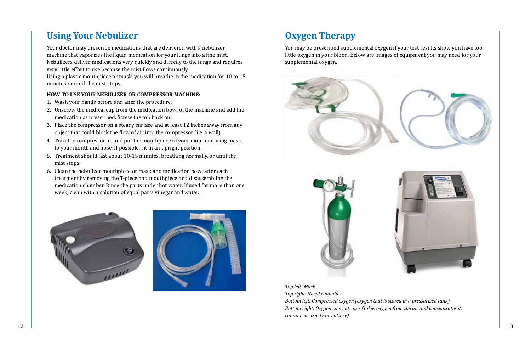## **Using Your Nebulizer**

Your doctor may prescribe medications that are delivered with a nebulizer machine that vaporizes the liquid medication for your lungs into a fine mist. Nebulizers deliver medications very quickly and directly to the lungs and requires very little effort to use because the mist flows continuously.

Using a plastic mouthpiece or mask, you will breathe in the medication for 10 to 15 minutes or until the mist stops.

#### **HOW TO USE YOUR NEBULIZER OR COMPRESSOR MACHINE:**

- 1. Wash your hands before and after the procedure.
- 2. Unscrew the medical cup from the medication bowl of the machine and add the medication as prescribed. Screw the top back on.
- 3. Place the compressor on a steady surface and at least 12 inches away from any object that could block the flow of air into the compressor (i.e. a wall).
- 4. Turn the compressor on and put the mouthpiece in your mouth or bring mask to your mouth and nose. If possible, sit in an upright position.
- 5. Treatment should last about 10-15 minutes, breathing normally, or until the mist stops.
- 6. Clean the nebulizer mouthpiece or mask and medication bowl after each treatment by removing the T-piece and mouthpiece and disassembling the medication chamber. Rinse the parts under hot water. If used for more than one week, clean with a solution of equal parts vinegar and water.







*Top left: Mask. Top right: Nasal cannula. Bottom left: Compressed oxygen (oxygen that is stored in a pressurized tank). Bottom right: Oxygen concentrator (takes oxygen from the air and concentrates it; runs on electricity or battery)*



# **Oxygen Therapy**

You may be prescribed supplemental oxygen if your test results show you have too little oxygen in your blood. Below are images of equipment you may need for your supplemental oxygen.

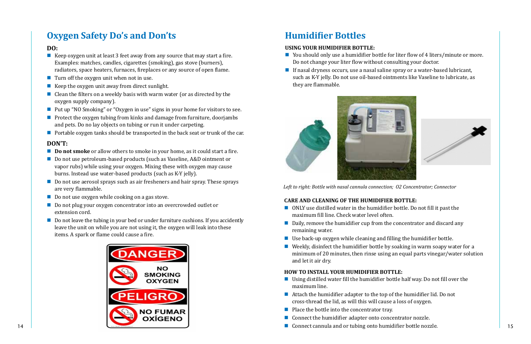# **Oxygen Safety Do's and Don'ts**

### **DO:**

- Keep oxygen unit at least 3 feet away from any source that may start a fire. Examples: matches, candles, cigarettes (smoking), gas stove (burners), radiators, space heaters, furnaces, fireplaces or any source of open flame.
- Turn off the oxygen unit when not in use.
- Keep the oxygen unit away from direct sunlight.
- Clean the filters on a weekly basis with warm water (or as directed by the oxygen supply company).
- Put up "NO Smoking" or "Oxygen in use" signs in your home for visitors to see.
- **Protect the oxygen tubing from kinks and damage from furniture, doorjambs** and pets. Do no lay objects on tubing or run it under carpeting.
- **Portable oxygen tanks should be transported in the back seat or trunk of the car.**

- **Do not smoke** or allow others to smoke in your home, as it could start a fire.
- Do not use petroleum-based products (such as Vaseline, A&D ointment or vapor rubs) while using your oxygen. Mixing these with oxygen may cause burns. Instead use water-based products (such as K-Y jelly).
- Do not use aerosol sprays such as air fresheners and hair spray. These sprays are very flammable.
- Do not use oxygen while cooking on a gas stove.
- Do not plug your oxygen concentrator into an overcrowded outlet or extension cord.
- Do not leave the tubing in your bed or under furniture cushions. If you accidently leave the unit on while you are not using it, the oxygen will leak into these items. A spark or flame could cause a fire.

### **DON'T:**

- You should only use a humidifier bottle for liter flow of 4 liters/minute or more. Do not change your liter flow without consulting your doctor.
- If nasal dryness occurs, use a nasal saline spray or a water-based lubricant, such as K-Y jelly. Do not use oil-based ointments like Vaseline to lubricate, as they are flammable.

- ONLY use distilled water in the humidifier bottle. Do not fill it past the maximum fill line. Check water level often.
- Daily, remove the humidifier cup from the concentrator and discard any remaining water.
- $\blacksquare$  Use back-up oxygen while cleaning and filling the humidifier bottle.
- Weekly, disinfect the humidifier bottle by soaking in warm soapy water for a minimum of 20 minutes, then rinse using an equal parts vinegar/water solution and let it air dry.



# **Humidifier Bottles**

#### **USING YOUR HUMIDIFIER BOTTLE:**



*Left to right: Bottle with nasal cannula connection; O2 Concentrator; Connector*

### **CARE AND CLEANING OF THE HUMIDIFIER BOTTLE:**

### **HOW TO INSTALL YOUR HUMIDIFIER BOTTLE:**

- Using distilled water fill the humidifier bottle half way. Do not fill over the maximum line.
- Attach the humidifier adapter to the top of the humidifier lid. Do not cross-thread the lid, as will this will cause a loss of oxygen.
- $\blacksquare$  Place the bottle into the concentrator tray.
- Connect the humidifier adapter onto concentrator nozzle.
- 



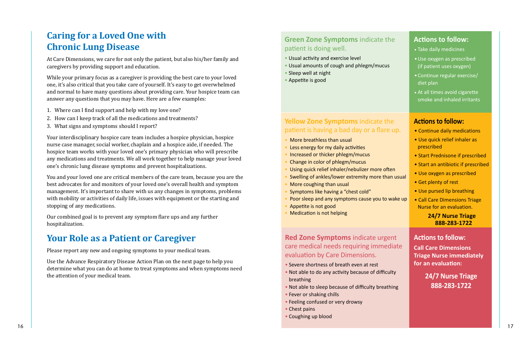## **Caring for a Loved One with Chronic Lung Disease**

At Care Dimensions, we care for not only the patient, but also his/her family and caregivers by providing support and education.

While your primary focus as a caregiver is providing the best care to your loved one, it's also critical that you take care of yourself. It's easy to get overwhelmed and normal to have many questions about providing care. Your hospice team can answer any questions that you may have. Here are a few examples:

- 1. Where can I find support and help with my love one?
- 2. How can I keep track of all the medications and treatments?
- 3. What signs and symptoms should I report?

Your interdisciplinary hospice care team includes a hospice physician, hospice nurse case manager, social worker, chaplain and a hospice aide, if needed. The hospice team works with your loved one's primary physician who will prescribe any medications and treatments. We all work together to help manage your loved one's chronic lung disease symptoms and prevent hospitalizations.

## **Green Zone Symptoms** indicate the patient is doing well.

You and your loved one are critical members of the care team, because you are the best advocates for and monitors of your loved one's overall health and symptom management. It's important to share with us any changes in symptoms, problems with mobility or activities of daily life, issues with equipment or the starting and stopping of any medications.

Our combined goal is to prevent any symptom flare ups and any further hospitalization.

## **Red Zone Symptoms** indicate urge care medical needs requiring immed evaluation by Care Dimensions.

## **Your Role as a Patient or Caregiver**

Please report any new and ongoing symptoms to your medical team.

Use the Advance Respiratory Disease Action Plan on the next page to help you determine what you can do at home to treat symptoms and when symptoms need the attention of your medical team.

- Usual activity and exercise level
- Usual amounts of cough and phlegm/mucus
- Sleep well at night
- Appetite is good

## **Yellow Zone Symptoms** indicate the patient is having a bad day or a flare

- More breathless than usual
- Less energy for my daily activities
- Increased or thicker phlegm/mucus
- Change in color of phlegm/mucus
- Using quick relief inhaler/nebulizer more oft
- Swelling of ankles/lower extremity more tha
- More coughing than usual
- Symptoms like having a "chest cold"
- **Poor sleep and any symptoms cause you to various**
- Appetite is not good
- Medication is not helping

| <b>Actions to follow:</b>                             |
|-------------------------------------------------------|
| • Take daily medicines                                |
| · Use oxygen as prescribed                            |
| (if patient uses oxygen)                              |
| • Continue regular exercise/<br>diet plan             |
| • At all times avoid cigarette                        |
| smoke and inhaled irritants                           |
|                                                       |
| <b>Actions to follow:</b>                             |
| • Continue daily medications                          |
| • Use quick relief inhaler as<br>prescribed           |
| • Start Prednisone if prescribed                      |
| • Start an antibiotic if prescribed                   |
| • Use oxygen as prescribed                            |
| • Get plenty of rest                                  |
| • Use pursed lip breathing                            |
| • Call Care Dimensions Triage                         |
| Nurse for an evaluation.                              |
| <b>24/7 Nurse Triage</b><br>888-283-1722              |
|                                                       |
|                                                       |
| <b>Actions to follow:</b>                             |
| <b>Call Care Dimensions</b>                           |
| <b>Triage Nurse immediately</b><br>for an evaluation: |
|                                                       |
| 24/7 Nurse Triage                                     |
| 888-283-1722                                          |
|                                                       |

- Severe shortness of breath even at rest
- Not able to do any activity because of difficult breathing
- Not able to sleep because of difficulty breath
- Fever or shaking chills
- Feeling confused or very drowsy
- Chest pains
- Coughing up blood